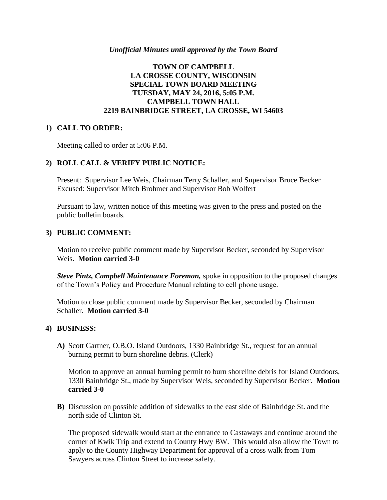#### *Unofficial Minutes until approved by the Town Board*

## **TOWN OF CAMPBELL LA CROSSE COUNTY, WISCONSIN SPECIAL TOWN BOARD MEETING TUESDAY, MAY 24, 2016, 5:05 P.M. CAMPBELL TOWN HALL 2219 BAINBRIDGE STREET, LA CROSSE, WI 54603**

#### **1) CALL TO ORDER:**

Meeting called to order at 5:06 P.M.

### **2) ROLL CALL & VERIFY PUBLIC NOTICE:**

Present: Supervisor Lee Weis, Chairman Terry Schaller, and Supervisor Bruce Becker Excused: Supervisor Mitch Brohmer and Supervisor Bob Wolfert

Pursuant to law, written notice of this meeting was given to the press and posted on the public bulletin boards.

### **3) PUBLIC COMMENT:**

Motion to receive public comment made by Supervisor Becker, seconded by Supervisor Weis. **Motion carried 3-0** 

*Steve Pintz, Campbell Maintenance Foreman,* spoke in opposition to the proposed changes of the Town's Policy and Procedure Manual relating to cell phone usage.

Motion to close public comment made by Supervisor Becker, seconded by Chairman Schaller. **Motion carried 3-0** 

#### **4) BUSINESS:**

**A)** Scott Gartner, O.B.O. Island Outdoors, 1330 Bainbridge St., request for an annual burning permit to burn shoreline debris. (Clerk)

Motion to approve an annual burning permit to burn shoreline debris for Island Outdoors, 1330 Bainbridge St., made by Supervisor Weis, seconded by Supervisor Becker. **Motion carried 3-0**

**B)** Discussion on possible addition of sidewalks to the east side of Bainbridge St. and the north side of Clinton St.

The proposed sidewalk would start at the entrance to Castaways and continue around the corner of Kwik Trip and extend to County Hwy BW. This would also allow the Town to apply to the County Highway Department for approval of a cross walk from Tom Sawyers across Clinton Street to increase safety.